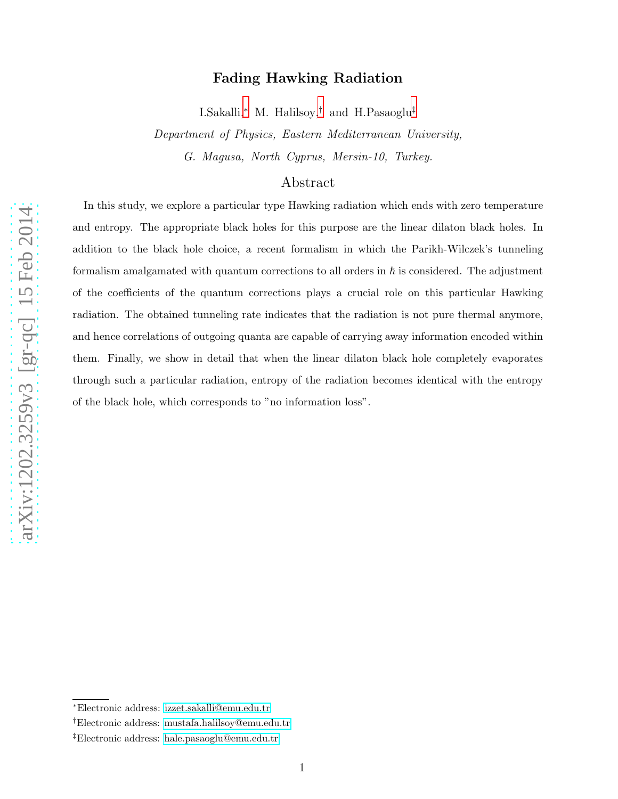## Fading Hawking Radiation

I.Sakalli, [∗](#page-0-0) M. Halilsoy, [†](#page-0-1) and H.Pasaoglu [‡](#page-0-2)

Department of Physics, Eastern Mediterranean University, G. Magusa, North Cyprus, Mersin-10, Turkey.

### Abstract

In this study, we explore a particular type Hawking radiation which ends with zero temperature and entropy. The appropriate black holes for this purpose are the linear dilaton black holes. In addition to the black hole choice, a recent formalism in which the Parikh-Wilczek's tunneling formalism amalgamated with quantum corrections to all orders in  $\hbar$  is considered. The adjustment of the coefficients of the quantum corrections plays a crucial role on this particular Hawking radiation. The obtained tunneling rate indicates that the radiation is not pure thermal anymore, and hence correlations of outgoing quanta are capable of carrying away information encoded within them. Finally, we show in detail that when the linear dilaton black hole completely evaporates through such a particular radiation, entropy of the radiation becomes identical with the entropy of the black hole, which corresponds to "no information loss".

<span id="page-0-1"></span><span id="page-0-0"></span><sup>∗</sup>Electronic address: [izzet.sakalli@emu.edu.tr](mailto:izzet.sakalli@emu.edu.tr)

<span id="page-0-2"></span><sup>†</sup>Electronic address: [mustafa.halilsoy@emu.edu.tr](mailto:mustafa.halilsoy@emu.edu.tr)

<sup>‡</sup>Electronic address: [hale.pasaoglu@emu.edu.tr](mailto:hale.pasaoglu@emu.edu.tr)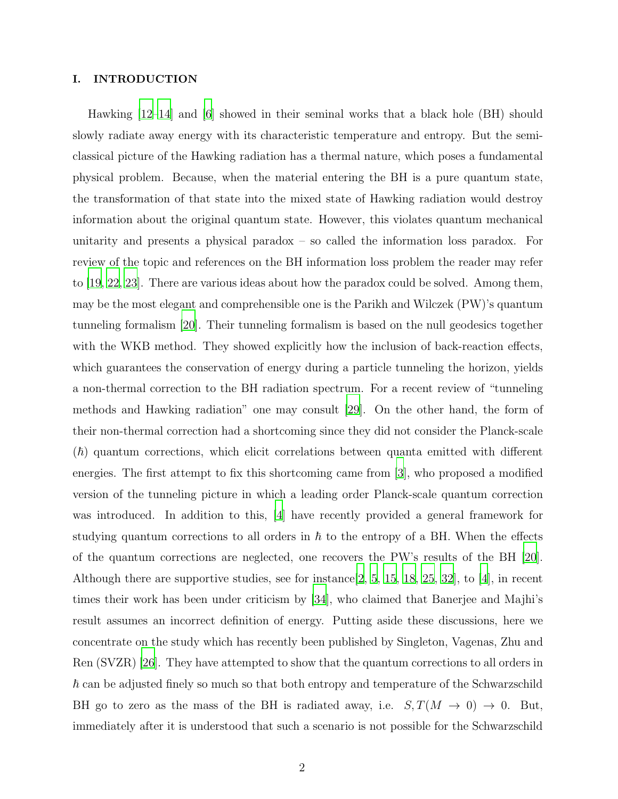### I. INTRODUCTION

Hawking [\[12](#page-10-0)[–14\]](#page-10-1) and [\[6\]](#page-10-2) showed in their seminal works that a black hole (BH) should slowly radiate away energy with its characteristic temperature and entropy. But the semiclassical picture of the Hawking radiation has a thermal nature, which poses a fundamental physical problem. Because, when the material entering the BH is a pure quantum state, the transformation of that state into the mixed state of Hawking radiation would destroy information about the original quantum state. However, this violates quantum mechanical unitarity and presents a physical paradox – so called the information loss paradox. For review of the topic and references on the BH information loss problem the reader may refer to [\[19](#page-11-0), [22](#page-11-1), [23\]](#page-11-2). There are various ideas about how the paradox could be solved. Among them, may be the most elegant and comprehensible one is the Parikh and Wilczek (PW)'s quantum tunneling formalism [\[20](#page-11-3)]. Their tunneling formalism is based on the null geodesics together with the WKB method. They showed explicitly how the inclusion of back-reaction effects, which guarantees the conservation of energy during a particle tunneling the horizon, yields a non-thermal correction to the BH radiation spectrum. For a recent review of "tunneling methods and Hawking radiation" one may consult [\[29](#page-11-4)]. On the other hand, the form of their non-thermal correction had a shortcoming since they did not consider the Planck-scale  $(\hbar)$  quantum corrections, which elicit correlations between quanta emitted with different energies. The first attempt to fix this shortcoming came from [\[3\]](#page-10-3), who proposed a modified version of the tunneling picture in which a leading order Planck-scale quantum correction was introduced. In addition to this, [\[4\]](#page-10-4) have recently provided a general framework for studying quantum corrections to all orders in  $\hbar$  to the entropy of a BH. When the effects of the quantum corrections are neglected, one recovers the PW's results of the BH [\[20\]](#page-11-3). Although there are supportive studies, see for instance  $[2, 5, 15, 18, 25, 32]$  $[2, 5, 15, 18, 25, 32]$  $[2, 5, 15, 18, 25, 32]$  $[2, 5, 15, 18, 25, 32]$  $[2, 5, 15, 18, 25, 32]$  $[2, 5, 15, 18, 25, 32]$  $[2, 5, 15, 18, 25, 32]$ , to  $[4]$ , in recent times their work has been under criticism by [\[34](#page-11-8)], who claimed that Banerjee and Majhi's result assumes an incorrect definition of energy. Putting aside these discussions, here we concentrate on the study which has recently been published by Singleton, Vagenas, Zhu and Ren (SVZR) [\[26](#page-11-9)]. They have attempted to show that the quantum corrections to all orders in  $\hbar$  can be adjusted finely so much so that both entropy and temperature of the Schwarzschild BH go to zero as the mass of the BH is radiated away, i.e.  $S, T(M \rightarrow 0) \rightarrow 0$ . But, immediately after it is understood that such a scenario is not possible for the Schwarzschild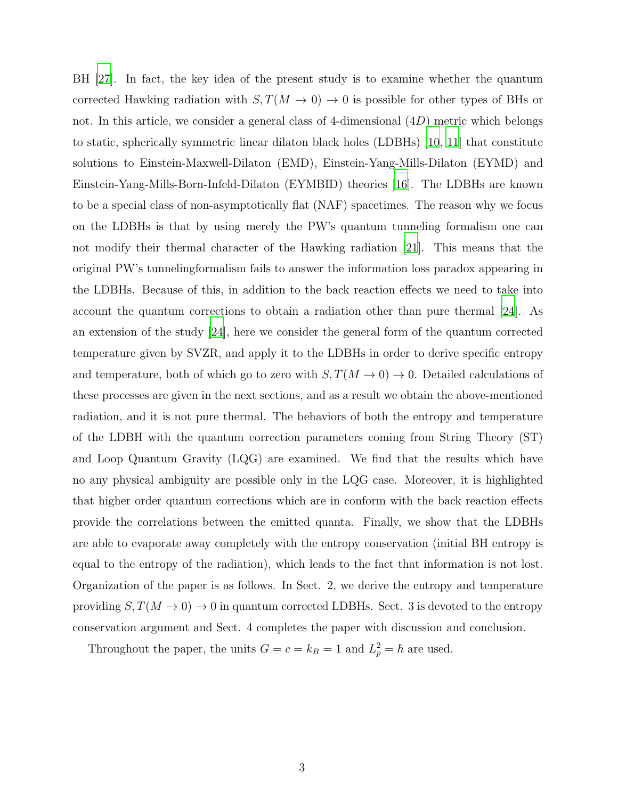BH [\[27](#page-11-10)]. In fact, the key idea of the present study is to examine whether the quantum corrected Hawking radiation with  $S, T(M \to 0) \to 0$  is possible for other types of BHs or not. In this article, we consider a general class of 4-dimensional (4D) metric which belongs to static, spherically symmetric linear dilaton black holes (LDBHs) [\[10,](#page-10-8) [11\]](#page-10-9) that constitute solutions to Einstein-Maxwell-Dilaton (EMD), Einstein-Yang-Mills-Dilaton (EYMD) and Einstein-Yang-Mills-Born-Infeld-Dilaton (EYMBID) theories [\[16\]](#page-10-10). The LDBHs are known to be a special class of non-asymptotically flat (NAF) spacetimes. The reason why we focus on the LDBHs is that by using merely the PW's quantum tunneling formalism one can not modify their thermal character of the Hawking radiation [\[21](#page-11-11)]. This means that the original PW's tunnelingformalism fails to answer the information loss paradox appearing in the LDBHs. Because of this, in addition to the back reaction effects we need to take into account the quantum corrections to obtain a radiation other than pure thermal [\[24](#page-11-12)]. As an extension of the study [\[24](#page-11-12)], here we consider the general form of the quantum corrected temperature given by SVZR, and apply it to the LDBHs in order to derive specific entropy and temperature, both of which go to zero with  $S, T(M \to 0) \to 0$ . Detailed calculations of these processes are given in the next sections, and as a result we obtain the above-mentioned radiation, and it is not pure thermal. The behaviors of both the entropy and temperature of the LDBH with the quantum correction parameters coming from String Theory (ST) and Loop Quantum Gravity (LQG) are examined. We find that the results which have no any physical ambiguity are possible only in the LQG case. Moreover, it is highlighted that higher order quantum corrections which are in conform with the back reaction effects provide the correlations between the emitted quanta. Finally, we show that the LDBHs are able to evaporate away completely with the entropy conservation (initial BH entropy is equal to the entropy of the radiation), which leads to the fact that information is not lost. Organization of the paper is as follows. In Sect. 2, we derive the entropy and temperature providing  $S, T(M \to 0) \to 0$  in quantum corrected LDBHs. Sect. 3 is devoted to the entropy conservation argument and Sect. 4 completes the paper with discussion and conclusion.

Throughout the paper, the units  $G = c = k_B = 1$  and  $L_p^2 = \hbar$  are used.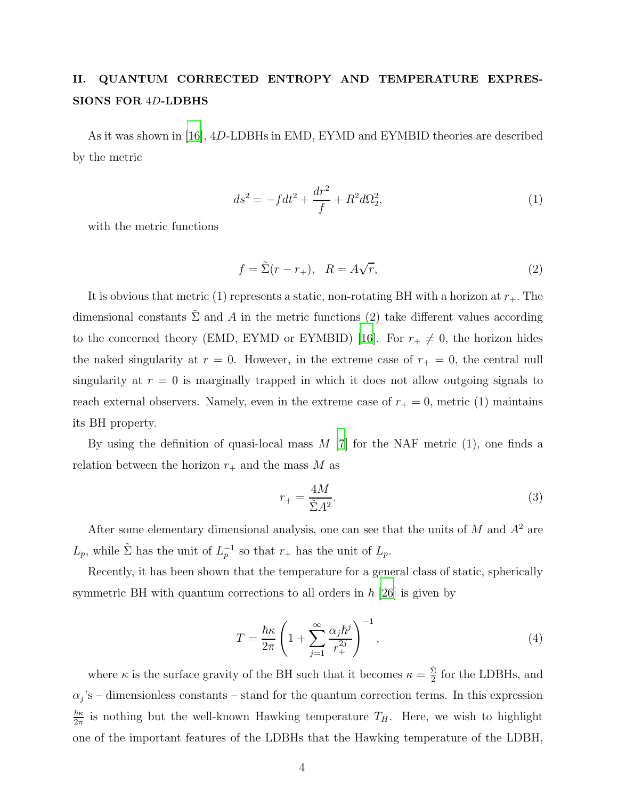# II. QUANTUM CORRECTED ENTROPY AND TEMPERATURE EXPRES-SIONS FOR 4D-LDBHS

As it was shown in [\[16](#page-10-10)], 4D-LDBHs in EMD, EYMD and EYMBID theories are described by the metric

$$
ds^{2} = -fdt^{2} + \frac{dr^{2}}{f} + R^{2}d\Omega_{2}^{2},
$$
\n(1)

with the metric functions

$$
f = \tilde{\Sigma}(r - r_+), \quad R = A\sqrt{r}, \tag{2}
$$

It is obvious that metric (1) represents a static, non-rotating BH with a horizon at  $r_{+}$ . The dimensional constants  $\tilde{\Sigma}$  and A in the metric functions (2) take different values according to the concerned theory (EMD, EYMD or EYMBID) [\[16](#page-10-10)]. For  $r_{+} \neq 0$ , the horizon hides the naked singularity at  $r = 0$ . However, in the extreme case of  $r_{+} = 0$ , the central null singularity at  $r = 0$  is marginally trapped in which it does not allow outgoing signals to reach external observers. Namely, even in the extreme case of  $r_{+} = 0$ , metric (1) maintains its BH property.

By using the definition of quasi-local mass  $M$  [\[7\]](#page-10-11) for the NAF metric (1), one finds a relation between the horizon  $r_+$  and the mass M as

$$
r_{+} = \frac{4M}{\tilde{\Sigma}A^2}.\tag{3}
$$

After some elementary dimensional analysis, one can see that the units of  $M$  and  $A<sup>2</sup>$  are  $L_p$ , while  $\tilde{\Sigma}$  has the unit of  $L_p^{-1}$  so that  $r_+$  has the unit of  $L_p$ .

Recently, it has been shown that the temperature for a general class of static, spherically symmetric BH with quantum corrections to all orders in  $\hbar$  [\[26\]](#page-11-9) is given by

$$
T = \frac{\hbar \kappa}{2\pi} \left( 1 + \sum_{j=1}^{\infty} \frac{\alpha_j \hbar^j}{r_+^{2j}} \right)^{-1},\tag{4}
$$

where  $\kappa$  is the surface gravity of the BH such that it becomes  $\kappa = \frac{\tilde{\Sigma}}{2}$  $\frac{\Sigma}{2}$  for the LDBHs, and  $\alpha_j$ 's – dimensionless constants – stand for the quantum correction terms. In this expression  $\hbar$ κ  $\frac{\hbar\kappa}{2\pi}$  is nothing but the well-known Hawking temperature  $T_H$ . Here, we wish to highlight one of the important features of the LDBHs that the Hawking temperature of the LDBH,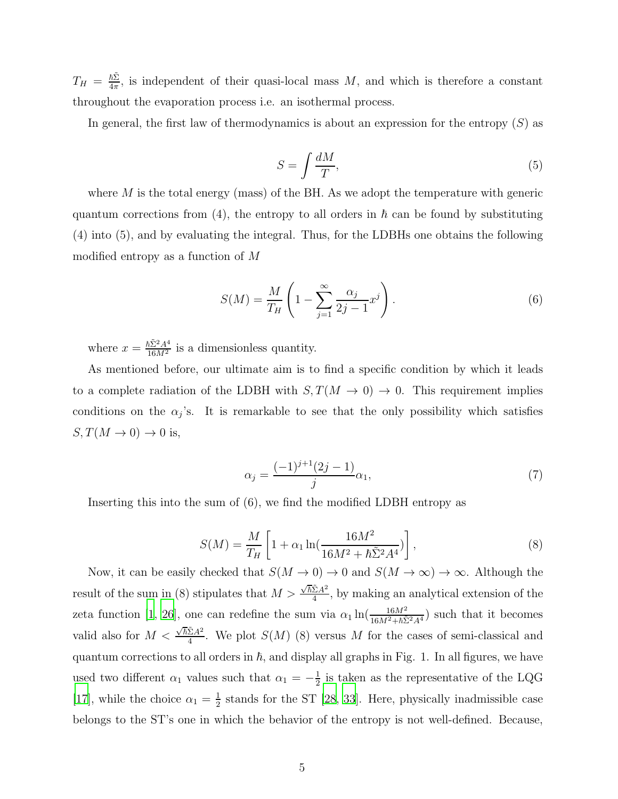$T_H \ = \ \frac{\hbar \tilde{\Sigma}}{4 \pi}$  $\frac{\hbar\Sigma}{4\pi}$ , is independent of their quasi-local mass M, and which is therefore a constant throughout the evaporation process i.e. an isothermal process.

In general, the first law of thermodynamics is about an expression for the entropy  $(S)$  as

$$
S = \int \frac{dM}{T},\tag{5}
$$

where  $M$  is the total energy (mass) of the BH. As we adopt the temperature with generic quantum corrections from (4), the entropy to all orders in  $\hbar$  can be found by substituting (4) into (5), and by evaluating the integral. Thus, for the LDBHs one obtains the following modified entropy as a function of M

$$
S(M) = \frac{M}{T_H} \left( 1 - \sum_{j=1}^{\infty} \frac{\alpha_j}{2j - 1} x^j \right). \tag{6}
$$

where  $x = \frac{\hbar \tilde{\Sigma}^2 A^4}{16M^2}$  is a dimensionless quantity.

As mentioned before, our ultimate aim is to find a specific condition by which it leads to a complete radiation of the LDBH with  $S, T(M \rightarrow 0) \rightarrow 0$ . This requirement implies conditions on the  $\alpha_j$ 's. It is remarkable to see that the only possibility which satisfies  $S, T(M \to 0) \to 0$  is,

$$
\alpha_j = \frac{(-1)^{j+1}(2j-1)}{j} \alpha_1,\tag{7}
$$

Inserting this into the sum of (6), we find the modified LDBH entropy as

$$
S(M) = \frac{M}{T_H} \left[ 1 + \alpha_1 \ln(\frac{16M^2}{16M^2 + \hbar \tilde{\Sigma}^2 A^4}) \right],
$$
 (8)

Now, it can be easily checked that  $S(M \to 0) \to 0$  and  $S(M \to \infty) \to \infty$ . Although the result of the sum in (8) stipulates that  $M > \frac{\sqrt{\hbar} \tilde{\Sigma} A^2}{4}$  $\frac{\Sigma A^2}{4}$ , by making an analytical extension of the zeta function [\[1,](#page-10-12) [26](#page-11-9)], one can redefine the sum via  $\alpha_1 \ln(\frac{16M^2}{16M^2 + h\bar{\Sigma}^2 A^4})$  such that it becomes valid also for  $M < \frac{\sqrt{\hbar} \tilde{\Sigma} A^2}{4}$  $\frac{\Sigma A^2}{4}$ . We plot  $S(M)$  (8) versus M for the cases of semi-classical and quantum corrections to all orders in  $\hbar$ , and display all graphs in Fig. 1. In all figures, we have used two different  $\alpha_1$  values such that  $\alpha_1 = -\frac{1}{2}$  $\frac{1}{2}$  is taken as the representative of the LQG [\[17](#page-11-13)], while the choice  $\alpha_1 = \frac{1}{2}$  $\frac{1}{2}$  stands for the ST [\[28](#page-11-14), [33](#page-11-15)]. Here, physically inadmissible case belongs to the ST's one in which the behavior of the entropy is not well-defined. Because,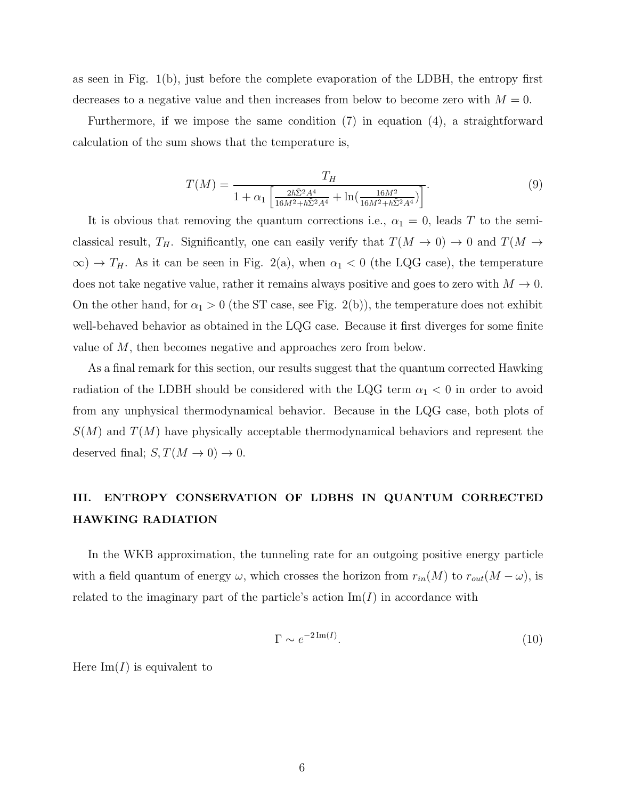as seen in Fig. 1(b), just before the complete evaporation of the LDBH, the entropy first decreases to a negative value and then increases from below to become zero with  $M = 0$ .

Furthermore, if we impose the same condition (7) in equation (4), a straightforward calculation of the sum shows that the temperature is,

$$
T(M) = \frac{T_H}{1 + \alpha_1 \left[ \frac{2\hbar \tilde{\Sigma}^2 A^4}{16M^2 + \hbar \tilde{\Sigma}^2 A^4} + \ln(\frac{16M^2}{16M^2 + \hbar \tilde{\Sigma}^2 A^4}) \right]}.
$$
(9)

It is obvious that removing the quantum corrections i.e.,  $\alpha_1 = 0$ , leads T to the semiclassical result,  $T_H$ . Significantly, one can easily verify that  $T(M \to 0) \to 0$  and  $T(M \to$  $\infty$ )  $\rightarrow$  T<sub>H</sub>. As it can be seen in Fig. 2(a), when  $\alpha_1$  < 0 (the LQG case), the temperature does not take negative value, rather it remains always positive and goes to zero with  $M \to 0$ . On the other hand, for  $\alpha_1 > 0$  (the ST case, see Fig. 2(b)), the temperature does not exhibit well-behaved behavior as obtained in the LQG case. Because it first diverges for some finite value of M, then becomes negative and approaches zero from below.

As a final remark for this section, our results suggest that the quantum corrected Hawking radiation of the LDBH should be considered with the LQG term  $\alpha_1 < 0$  in order to avoid from any unphysical thermodynamical behavior. Because in the LQG case, both plots of  $S(M)$  and  $T(M)$  have physically acceptable thermodynamical behaviors and represent the deserved final;  $S, T(M \to 0) \to 0$ .

# III. ENTROPY CONSERVATION OF LDBHS IN QUANTUM CORRECTED HAWKING RADIATION

In the WKB approximation, the tunneling rate for an outgoing positive energy particle with a field quantum of energy  $\omega$ , which crosses the horizon from  $r_{in}(M)$  to  $r_{out}(M - \omega)$ , is related to the imaginary part of the particle's action  $\text{Im}(I)$  in accordance with

$$
\Gamma \sim e^{-2\operatorname{Im}(I)}.\tag{10}
$$

Here  $\text{Im}(I)$  is equivalent to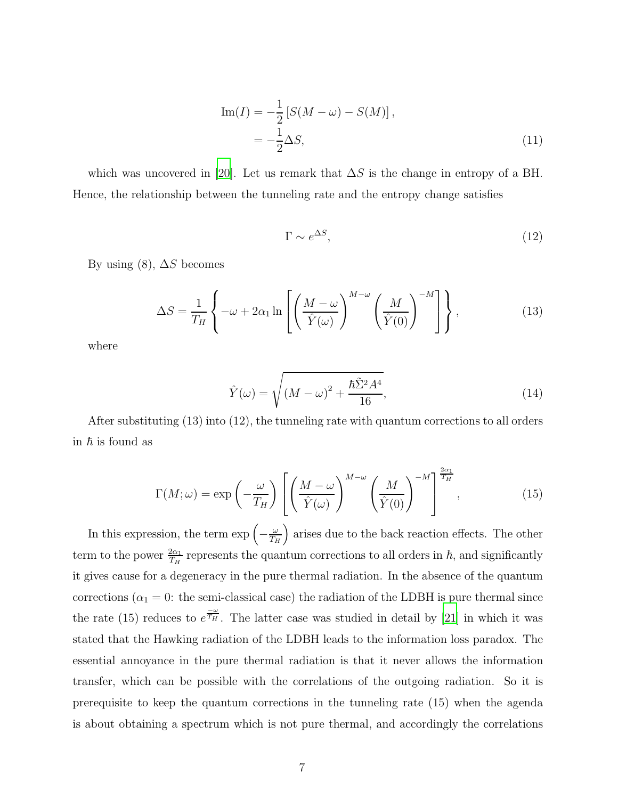Im(*I*) = 
$$
-\frac{1}{2}
$$
 [S(*M* –  $\omega$ ) – S(*M*)],  
=  $-\frac{1}{2}\Delta S$ , (11)

which was uncovered in [\[20\]](#page-11-3). Let us remark that  $\Delta S$  is the change in entropy of a BH. Hence, the relationship between the tunneling rate and the entropy change satisfies

$$
\Gamma \sim e^{\Delta S},\tag{12}
$$

By using  $(8)$ ,  $\Delta S$  becomes

$$
\Delta S = \frac{1}{T_H} \left\{ -\omega + 2\alpha_1 \ln \left[ \left( \frac{M - \omega}{\hat{Y}(\omega)} \right)^{M - \omega} \left( \frac{M}{\hat{Y}(0)} \right)^{-M} \right] \right\},\tag{13}
$$

where

$$
\hat{Y}(\omega) = \sqrt{(M - \omega)^2 + \frac{\hbar \tilde{\Sigma}^2 A^4}{16}},\tag{14}
$$

After substituting (13) into (12), the tunneling rate with quantum corrections to all orders in  $\hbar$  is found as

$$
\Gamma(M;\omega) = \exp\left(-\frac{\omega}{T_H}\right) \left[ \left(\frac{M-\omega}{\hat{Y}(\omega)}\right)^{M-\omega} \left(\frac{M}{\hat{Y}(0)}\right)^{-M} \right]^{\frac{2\alpha_1}{T_H}},\tag{15}
$$

In this expression, the term  $\exp\left(-\frac{\omega}{T_H}\right)$  $T_H$  arises due to the back reaction effects. The other term to the power  $\frac{2\alpha_1}{T_H}$  represents the quantum corrections to all orders in  $\hbar$ , and significantly it gives cause for a degeneracy in the pure thermal radiation. In the absence of the quantum corrections ( $\alpha_1 = 0$ : the semi-classical case) the radiation of the LDBH is pure thermal since the rate (15) reduces to  $e^{\frac{-\omega}{T_H}}$ . The latter case was studied in detail by [\[21](#page-11-11)] in which it was stated that the Hawking radiation of the LDBH leads to the information loss paradox. The essential annoyance in the pure thermal radiation is that it never allows the information transfer, which can be possible with the correlations of the outgoing radiation. So it is prerequisite to keep the quantum corrections in the tunneling rate (15) when the agenda is about obtaining a spectrum which is not pure thermal, and accordingly the correlations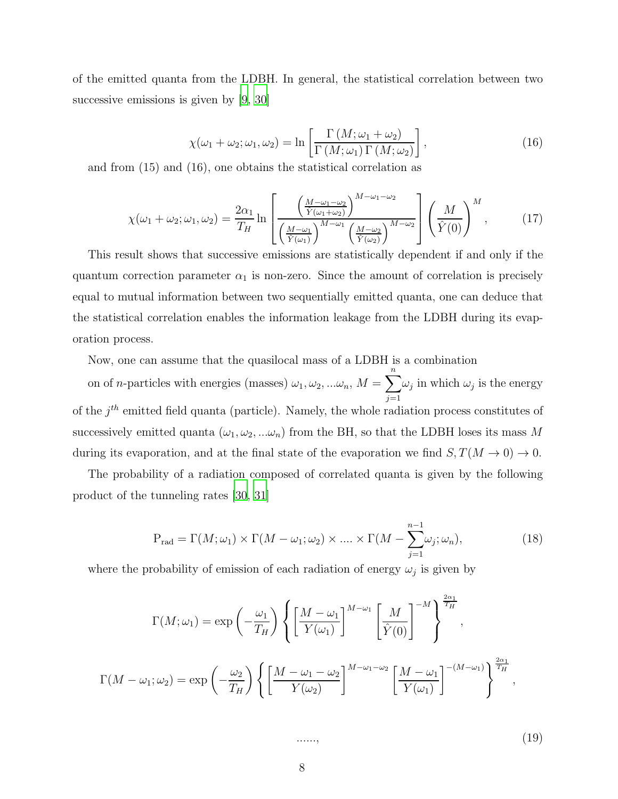of the emitted quanta from the LDBH. In general, the statistical correlation between two successive emissions is given by [\[9](#page-10-13), [30](#page-11-16)]

$$
\chi(\omega_1 + \omega_2; \omega_1, \omega_2) = \ln \left[ \frac{\Gamma(M; \omega_1 + \omega_2)}{\Gamma(M; \omega_1) \Gamma(M; \omega_2)} \right],
$$
\n(16)

and from (15) and (16), one obtains the statistical correlation as

$$
\chi(\omega_1 + \omega_2; \omega_1, \omega_2) = \frac{2\alpha_1}{T_H} \ln \left[ \frac{\left(\frac{M - \omega_1 - \omega_2}{\hat{Y}(\omega_1 + \omega_2)}\right)^{M - \omega_1 - \omega_2}}{\left(\frac{M - \omega_1}{\hat{Y}(\omega_1)}\right)^{M - \omega_1} \left(\frac{M - \omega_2}{\hat{Y}(\omega_2)}\right)^{M - \omega_2}} \right] \left(\frac{M}{\hat{Y}(0)}\right)^M, \tag{17}
$$

This result shows that successive emissions are statistically dependent if and only if the quantum correction parameter  $\alpha_1$  is non-zero. Since the amount of correlation is precisely equal to mutual information between two sequentially emitted quanta, one can deduce that the statistical correlation enables the information leakage from the LDBH during its evaporation process.

Now, one can assume that the quasilocal mass of a LDBH is a combination

on of *n*-particles with energies (masses)  $\omega_1, \omega_2, ... \omega_n, M = \sum^{n}$  $j=1$  $\omega_j$  in which  $\omega_j$  is the energy of the  $j<sup>th</sup>$  emitted field quanta (particle). Namely, the whole radiation process constitutes of successively emitted quanta  $(\omega_1, \omega_2, ... \omega_n)$  from the BH, so that the LDBH loses its mass M during its evaporation, and at the final state of the evaporation we find  $S, T(M \rightarrow 0) \rightarrow 0$ .

The probability of a radiation composed of correlated quanta is given by the following product of the tunneling rates [\[30](#page-11-16), [31\]](#page-11-17)

$$
P_{\text{rad}} = \Gamma(M; \omega_1) \times \Gamma(M - \omega_1; \omega_2) \times \dots \times \Gamma(M - \sum_{j=1}^{n-1} \omega_j; \omega_n), \tag{18}
$$

where the probability of emission of each radiation of energy  $\omega_j$  is given by

$$
\Gamma(M; \omega_1) = \exp\left(-\frac{\omega_1}{T_H}\right) \left\{ \left[\frac{M - \omega_1}{Y(\omega_1)}\right]^{M - \omega_1} \left[\frac{M}{\hat{Y}(0)}\right]^{-M} \right\}^{\frac{2\alpha_1}{T_H}},
$$
  

$$
\Gamma(M - \omega_1; \omega_2) = \exp\left(-\frac{\omega_2}{T_H}\right) \left\{ \left[\frac{M - \omega_1 - \omega_2}{Y(\omega_2)}\right]^{M - \omega_1 - \omega_2} \left[\frac{M - \omega_1}{Y(\omega_1)}\right]^{-(M - \omega_1)} \right\}^{\frac{2\alpha_1}{T_H}},
$$

......, (19)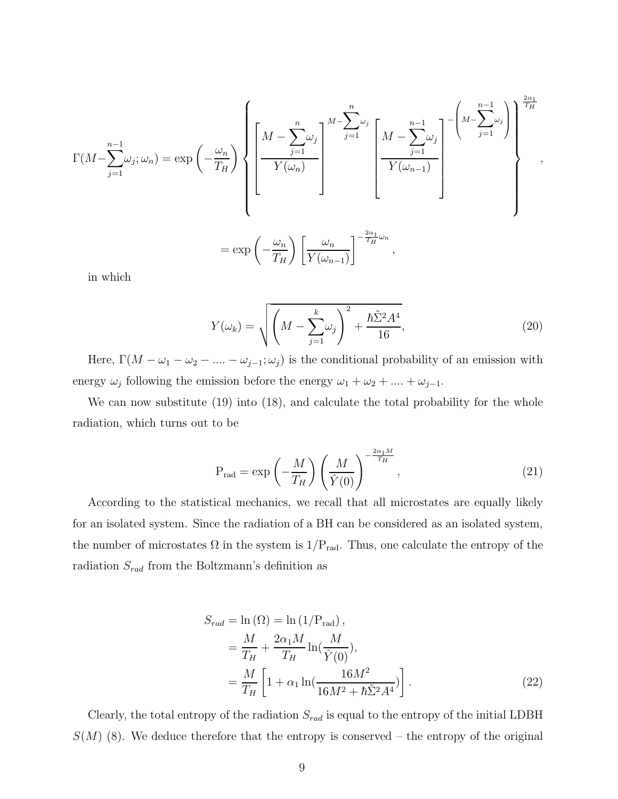$$
\Gamma(M - \sum_{j=1}^{n-1} \omega_j; \omega_n) = \exp\left(-\frac{\omega_n}{T_H}\right) \left\{ \left[\frac{M - \sum_{j=1}^n \omega_j}{Y(\omega_n)}\right]^{M - \sum_{j=1}^n \omega_j} \left[\frac{M - \sum_{j=1}^{n-1} \omega_j}{Y(\omega_{n-1})}\right]^{-\left(M - \sum_{j=1}^{n-1} \omega_j\right)}\right\}^{2\alpha_1} \right\},
$$
  

$$
= \exp\left(-\frac{\omega_n}{T_H}\right) \left[\frac{\omega_n}{Y(\omega_{n-1})}\right]^{-\frac{2\alpha_1}{T_H}\omega_n},
$$

in which

$$
Y(\omega_k) = \sqrt{\left(M - \sum_{j=1}^k \omega_j\right)^2 + \frac{\hbar \tilde{\Sigma}^2 A^4}{16}},\tag{20}
$$

Here,  $\Gamma(M - \omega_1 - \omega_2 - \dots - \omega_{j-1}; \omega_j)$  is the conditional probability of an emission with energy  $\omega_j$  following the emission before the energy  $\omega_1 + \omega_2 + \dots + \omega_{j-1}$ .

We can now substitute (19) into (18), and calculate the total probability for the whole radiation, which turns out to be

$$
P_{\rm rad} = \exp\left(-\frac{M}{T_H}\right) \left(\frac{M}{\hat{Y}(0)}\right)^{-\frac{2\alpha_1 M}{T_H}},\tag{21}
$$

According to the statistical mechanics, we recall that all microstates are equally likely for an isolated system. Since the radiation of a BH can be considered as an isolated system, the number of microstates  $\Omega$  in the system is  $1/P_{rad}$ . Thus, one calculate the entropy of the radiation $\mathcal{S}_{rad}$  from the Boltzmann's definition as

$$
S_{rad} = \ln(\Omega) = \ln(1/\text{P}_{rad}),
$$
  
=  $\frac{M}{T_H} + \frac{2\alpha_1 M}{T_H} \ln(\frac{M}{\hat{Y}(0)}),$   
=  $\frac{M}{T_H} \left[ 1 + \alpha_1 \ln(\frac{16M^2}{16M^2 + \hbar \tilde{\Sigma}^2 A^4}) \right].$  (22)

Clearly, the total entropy of the radiation  $S_{rad}$  is equal to the entropy of the initial LDBH  $S(M)$  (8). We deduce therefore that the entropy is conserved – the entropy of the original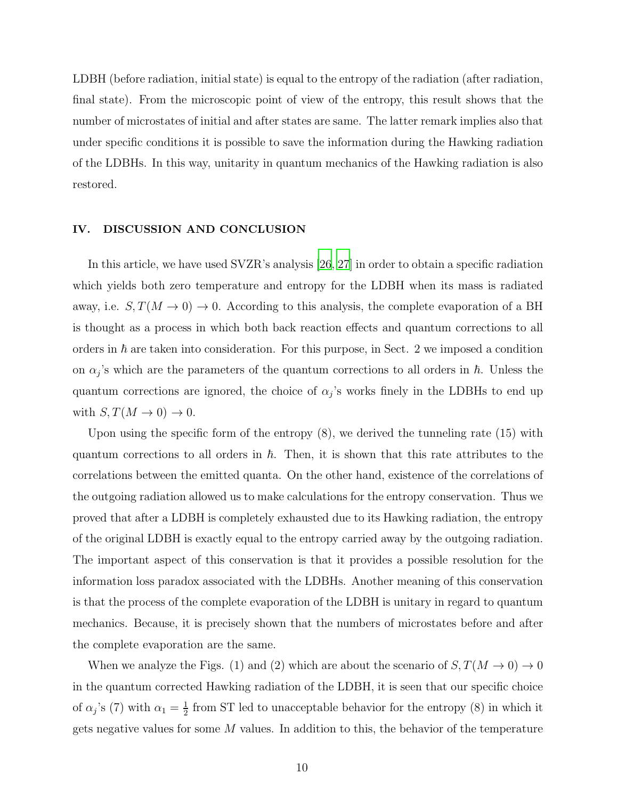LDBH (before radiation, initial state) is equal to the entropy of the radiation (after radiation, final state). From the microscopic point of view of the entropy, this result shows that the number of microstates of initial and after states are same. The latter remark implies also that under specific conditions it is possible to save the information during the Hawking radiation of the LDBHs. In this way, unitarity in quantum mechanics of the Hawking radiation is also restored.

#### IV. DISCUSSION AND CONCLUSION

In this article, we have used SVZR's analysis [\[26,](#page-11-9) [27](#page-11-10)] in order to obtain a specific radiation which yields both zero temperature and entropy for the LDBH when its mass is radiated away, i.e.  $S, T(M \to 0) \to 0$ . According to this analysis, the complete evaporation of a BH is thought as a process in which both back reaction effects and quantum corrections to all orders in  $h$  are taken into consideration. For this purpose, in Sect. 2 we imposed a condition on  $\alpha_j$ 's which are the parameters of the quantum corrections to all orders in  $\hbar$ . Unless the quantum corrections are ignored, the choice of  $\alpha_j$ 's works finely in the LDBHs to end up with  $S, T(M \to 0) \to 0$ .

Upon using the specific form of the entropy (8), we derived the tunneling rate (15) with quantum corrections to all orders in  $\hbar$ . Then, it is shown that this rate attributes to the correlations between the emitted quanta. On the other hand, existence of the correlations of the outgoing radiation allowed us to make calculations for the entropy conservation. Thus we proved that after a LDBH is completely exhausted due to its Hawking radiation, the entropy of the original LDBH is exactly equal to the entropy carried away by the outgoing radiation. The important aspect of this conservation is that it provides a possible resolution for the information loss paradox associated with the LDBHs. Another meaning of this conservation is that the process of the complete evaporation of the LDBH is unitary in regard to quantum mechanics. Because, it is precisely shown that the numbers of microstates before and after the complete evaporation are the same.

When we analyze the Figs. (1) and (2) which are about the scenario of  $S, T(M \to 0) \to 0$ in the quantum corrected Hawking radiation of the LDBH, it is seen that our specific choice of  $\alpha_j$ 's (7) with  $\alpha_1 = \frac{1}{2}$  $\frac{1}{2}$  from ST led to unacceptable behavior for the entropy (8) in which it gets negative values for some M values. In addition to this, the behavior of the temperature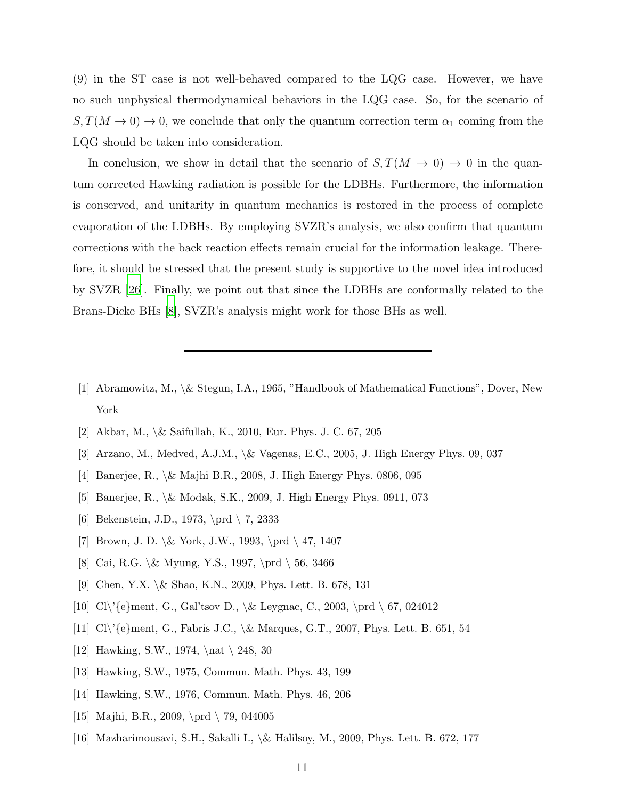(9) in the ST case is not well-behaved compared to the LQG case. However, we have no such unphysical thermodynamical behaviors in the LQG case. So, for the scenario of  $S, T(M \to 0) \to 0$ , we conclude that only the quantum correction term  $\alpha_1$  coming from the LQG should be taken into consideration.

In conclusion, we show in detail that the scenario of  $S, T(M \rightarrow 0) \rightarrow 0$  in the quantum corrected Hawking radiation is possible for the LDBHs. Furthermore, the information is conserved, and unitarity in quantum mechanics is restored in the process of complete evaporation of the LDBHs. By employing SVZR's analysis, we also confirm that quantum corrections with the back reaction effects remain crucial for the information leakage. Therefore, it should be stressed that the present study is supportive to the novel idea introduced by SVZR [\[26](#page-11-9)]. Finally, we point out that since the LDBHs are conformally related to the Brans-Dicke BHs [\[8](#page-10-14)], SVZR's analysis might work for those BHs as well.

- <span id="page-10-12"></span>[1] Abramowitz, M., \& Stegun, I.A., 1965, "Handbook of Mathematical Functions", Dover, New York
- <span id="page-10-5"></span>[2] Akbar, M., \& Saifullah, K., 2010, Eur. Phys. J. C. 67, 205
- <span id="page-10-3"></span>[3] Arzano, M., Medved, A.J.M., \& Vagenas, E.C., 2005, J. High Energy Phys. 09, 037
- <span id="page-10-4"></span>[4] Banerjee, R., \& Majhi B.R., 2008, J. High Energy Phys. 0806, 095
- <span id="page-10-6"></span><span id="page-10-2"></span>[5] Banerjee, R., \& Modak, S.K., 2009, J. High Energy Phys. 0911, 073
- [6] Bekenstein, J.D., 1973, \prd \ 7, 2333
- <span id="page-10-11"></span>[7] Brown, J. D. \& York, J.W., 1993, \prd \ 47, 1407
- <span id="page-10-14"></span><span id="page-10-13"></span>[8] Cai, R.G. \& Myung, Y.S., 1997, \prd \ 56, 3466
- [9] Chen, Y.X. \& Shao, K.N., 2009, Phys. Lett. B. 678, 131
- <span id="page-10-8"></span>[10] Cl\' $\{e\}$ ment, G., Gal'tsov D., \& Leygnac, C., 2003, \prd \ 67, 024012
- <span id="page-10-9"></span>[11] Cl\'{e}ment, G., Fabris J.C., \& Marques, G.T., 2007, Phys. Lett. B. 651, 54
- <span id="page-10-0"></span>[12] Hawking, S.W., 1974,  $\nat \ 248$ , 30
- [13] Hawking, S.W., 1975, Commun. Math. Phys. 43, 199
- <span id="page-10-1"></span>[14] Hawking, S.W., 1976, Commun. Math. Phys. 46, 206
- <span id="page-10-7"></span>[15] Majhi, B.R., 2009, \prd \ 79, 044005
- <span id="page-10-10"></span>[16] Mazharimousavi, S.H., Sakalli I., \& Halilsoy, M., 2009, Phys. Lett. B. 672, 177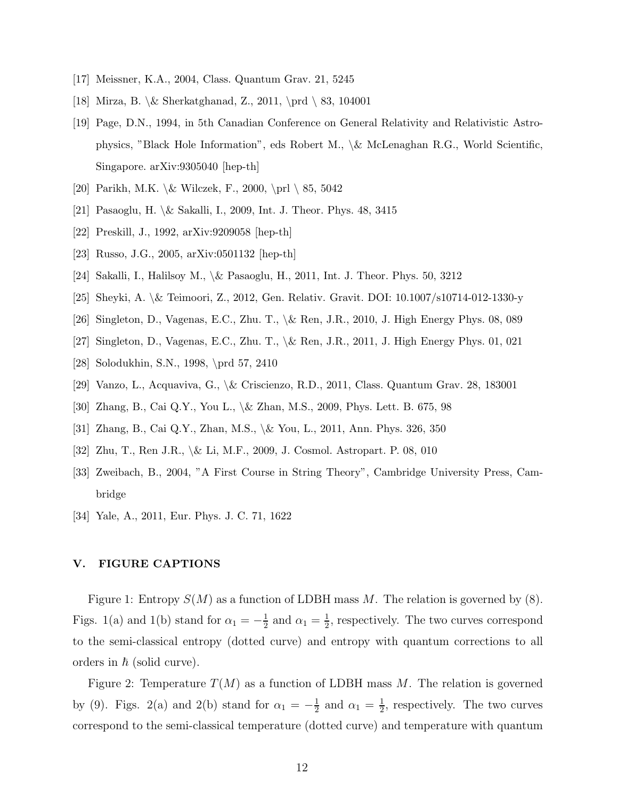- <span id="page-11-13"></span><span id="page-11-5"></span>[17] Meissner, K.A., 2004, Class. Quantum Grav. 21, 5245
- <span id="page-11-0"></span>[18] Mirza, B. \& Sherkatghanad, Z., 2011, \prd \ 83, 104001
- [19] Page, D.N., 1994, in 5th Canadian Conference on General Relativity and Relativistic Astrophysics, "Black Hole Information", eds Robert M., \& McLenaghan R.G., World Scientific, Singapore. arXiv:9305040 [hep-th]
- <span id="page-11-11"></span><span id="page-11-3"></span>[20] Parikh, M.K. \& Wilczek, F., 2000, \prl \ 85, 5042
- <span id="page-11-1"></span>[21] Pasaoglu, H. \& Sakalli, I., 2009, Int. J. Theor. Phys. 48, 3415
- <span id="page-11-2"></span>[22] Preskill, J., 1992, arXiv:9209058 [hep-th]
- <span id="page-11-12"></span>[23] Russo, J.G., 2005, arXiv:0501132 [hep-th]
- <span id="page-11-6"></span>[24] Sakalli, I., Halilsoy M., \& Pasaoglu, H., 2011, Int. J. Theor. Phys. 50, 3212
- <span id="page-11-9"></span>[25] Sheyki, A. \& Teimoori, Z., 2012, Gen. Relativ. Gravit. DOI: 10.1007/s10714-012-1330-y
- <span id="page-11-10"></span>[26] Singleton, D., Vagenas, E.C., Zhu. T., \& Ren, J.R., 2010, J. High Energy Phys. 08, 089
- <span id="page-11-14"></span>[27] Singleton, D., Vagenas, E.C., Zhu. T., \& Ren, J.R., 2011, J. High Energy Phys. 01, 021
- <span id="page-11-4"></span>[28] Solodukhin, S.N., 1998, \prd 57, 2410
- <span id="page-11-16"></span>[29] Vanzo, L., Acquaviva, G., \& Criscienzo, R.D., 2011, Class. Quantum Grav. 28, 183001
- <span id="page-11-17"></span>[30] Zhang, B., Cai Q.Y., You L., \& Zhan, M.S., 2009, Phys. Lett. B. 675, 98
- [31] Zhang, B., Cai Q.Y., Zhan, M.S., \& You, L., 2011, Ann. Phys. 326, 350
- <span id="page-11-7"></span>[32] Zhu, T., Ren J.R., \& Li, M.F., 2009, J. Cosmol. Astropart. P. 08, 010
- <span id="page-11-15"></span>[33] Zweibach, B., 2004, "A First Course in String Theory", Cambridge University Press, Cambridge
- <span id="page-11-8"></span>[34] Yale, A., 2011, Eur. Phys. J. C. 71, 1622

#### V. FIGURE CAPTIONS

Figure 1: Entropy  $S(M)$  as a function of LDBH mass M. The relation is governed by (8). Figs. 1(a) and 1(b) stand for  $\alpha_1 = -\frac{1}{2}$  $\frac{1}{2}$  and  $\alpha_1 = \frac{1}{2}$  $\frac{1}{2}$ , respectively. The two curves correspond to the semi-classical entropy (dotted curve) and entropy with quantum corrections to all orders in  $\hbar$  (solid curve).

Figure 2: Temperature  $T(M)$  as a function of LDBH mass M. The relation is governed by (9). Figs. 2(a) and 2(b) stand for  $\alpha_1 = -\frac{1}{2}$  $\frac{1}{2}$  and  $\alpha_1 = \frac{1}{2}$  $\frac{1}{2}$ , respectively. The two curves correspond to the semi-classical temperature (dotted curve) and temperature with quantum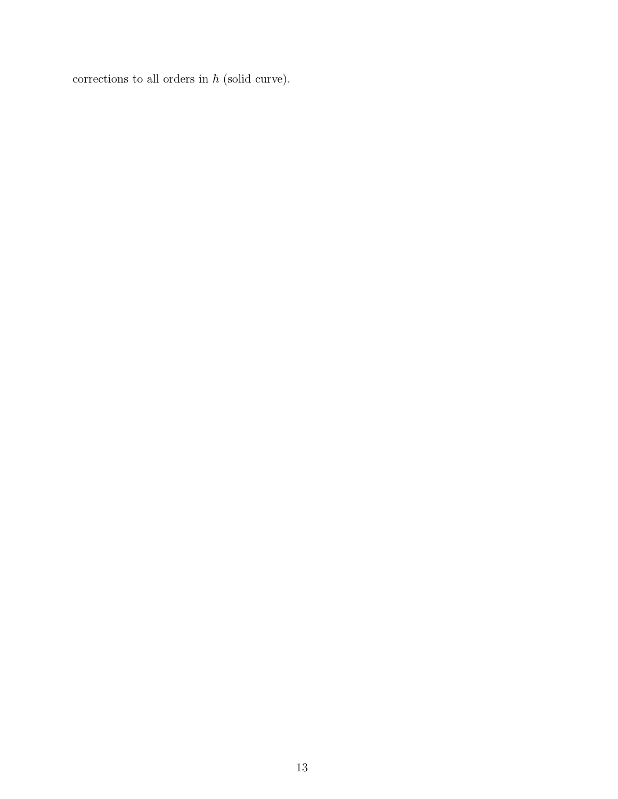corrections to all orders in  $\hbar$  (solid curve).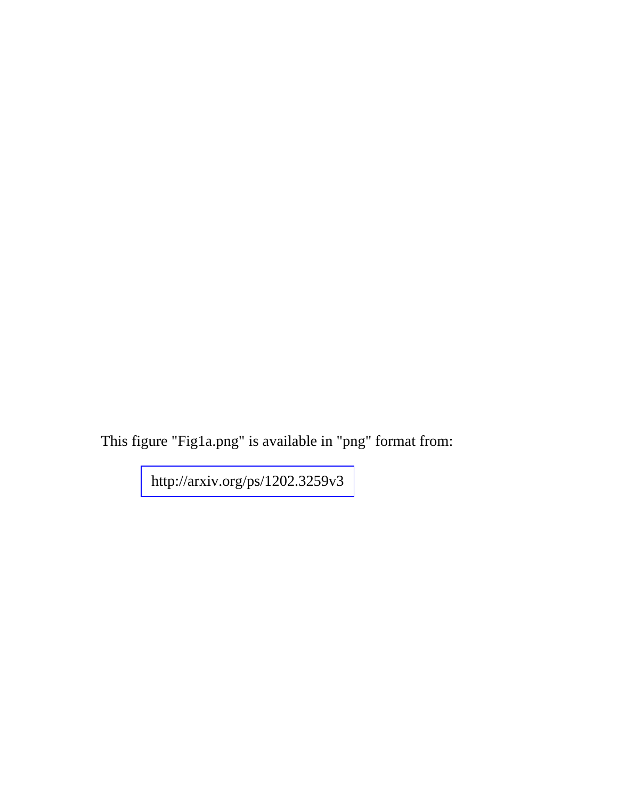This figure "Fig1a.png" is available in "png" format from: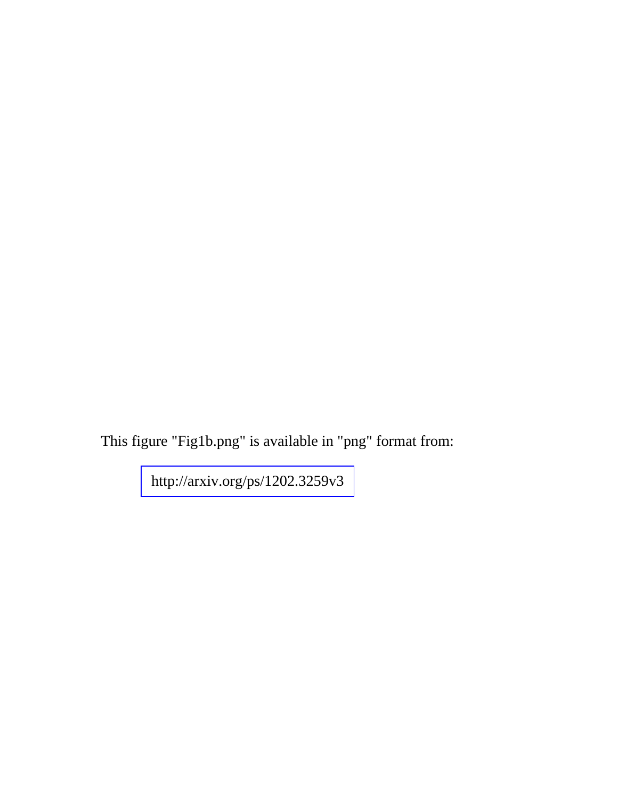This figure "Fig1b.png" is available in "png" format from: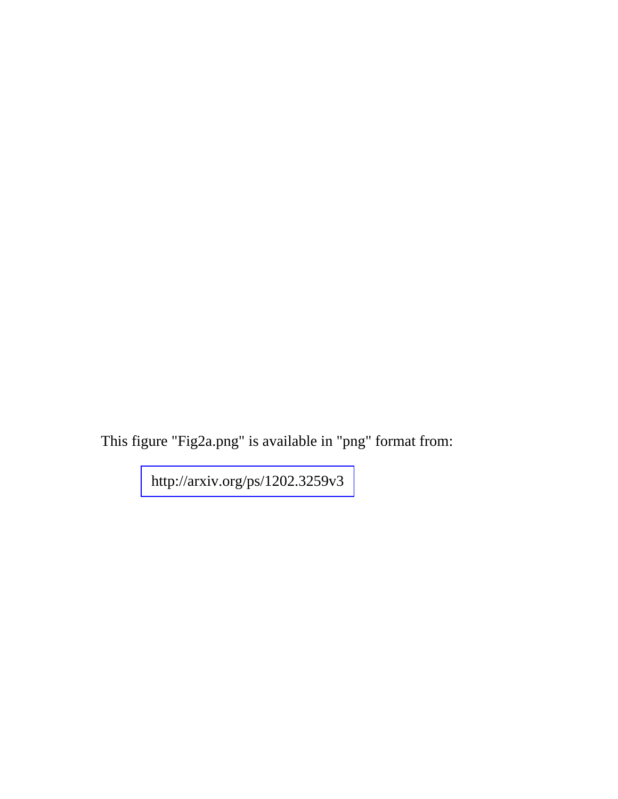This figure "Fig2a.png" is available in "png" format from: